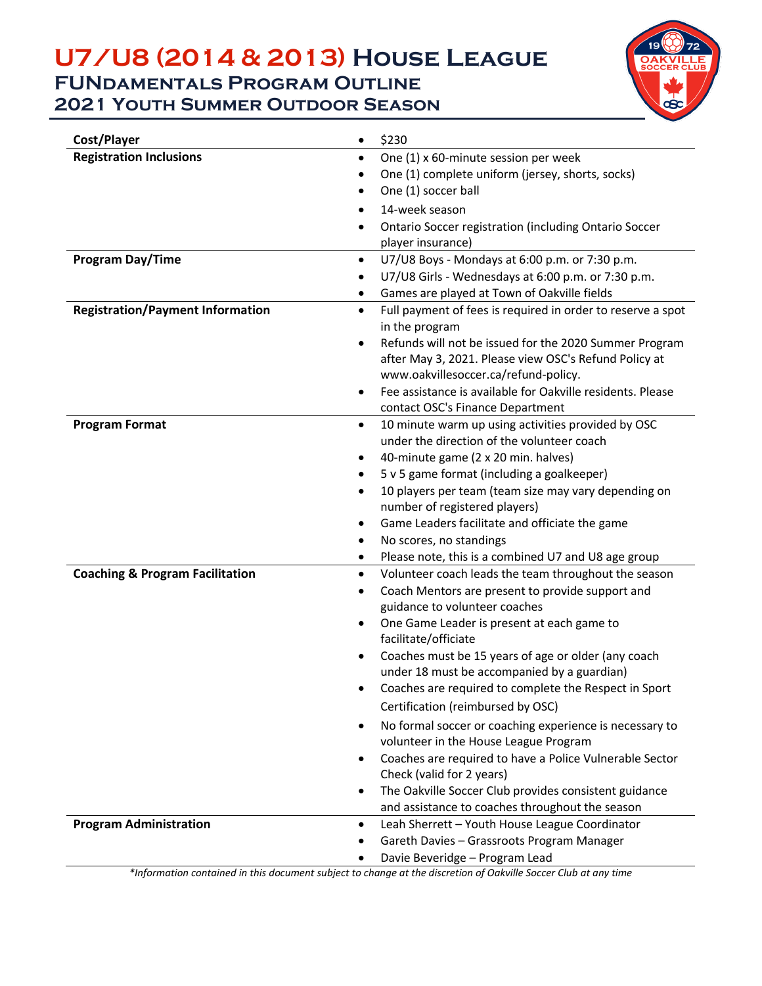## **U7/U8 (2014 & 2013) House League FUNdamentals Program Outline 2021 Youth Summer Outdoor Season**



| Cost/Player                                | \$230<br>$\bullet$                                                              |
|--------------------------------------------|---------------------------------------------------------------------------------|
| <b>Registration Inclusions</b>             | One (1) x 60-minute session per week<br>$\bullet$                               |
|                                            | One (1) complete uniform (jersey, shorts, socks)                                |
|                                            | One (1) soccer ball                                                             |
|                                            | 14-week season<br>٠                                                             |
|                                            | Ontario Soccer registration (including Ontario Soccer<br>$\bullet$              |
|                                            | player insurance)                                                               |
| Program Day/Time                           | U7/U8 Boys - Mondays at 6:00 p.m. or 7:30 p.m.<br>$\bullet$                     |
|                                            | U7/U8 Girls - Wednesdays at 6:00 p.m. or 7:30 p.m.                              |
|                                            | Games are played at Town of Oakville fields<br>$\bullet$                        |
| <b>Registration/Payment Information</b>    | Full payment of fees is required in order to reserve a spot<br>$\bullet$        |
|                                            | in the program                                                                  |
|                                            | Refunds will not be issued for the 2020 Summer Program<br>$\bullet$             |
|                                            | after May 3, 2021. Please view OSC's Refund Policy at                           |
|                                            | www.oakvillesoccer.ca/refund-policy.                                            |
|                                            | Fee assistance is available for Oakville residents. Please<br>$\bullet$         |
|                                            | contact OSC's Finance Department                                                |
| <b>Program Format</b>                      | 10 minute warm up using activities provided by OSC<br>$\bullet$                 |
|                                            | under the direction of the volunteer coach                                      |
|                                            | 40-minute game (2 x 20 min. halves)<br>$\bullet$                                |
|                                            | 5 v 5 game format (including a goalkeeper)<br>$\bullet$                         |
|                                            | 10 players per team (team size may vary depending on<br>$\bullet$               |
|                                            | number of registered players)<br>Game Leaders facilitate and officiate the game |
|                                            | No scores, no standings<br>٠                                                    |
|                                            | Please note, this is a combined U7 and U8 age group<br>٠                        |
| <b>Coaching &amp; Program Facilitation</b> | Volunteer coach leads the team throughout the season<br>$\bullet$               |
|                                            | Coach Mentors are present to provide support and                                |
|                                            | guidance to volunteer coaches                                                   |
|                                            | One Game Leader is present at each game to<br>$\bullet$                         |
|                                            | facilitate/officiate                                                            |
|                                            | Coaches must be 15 years of age or older (any coach                             |
|                                            | under 18 must be accompanied by a guardian)                                     |
|                                            | Coaches are required to complete the Respect in Sport                           |
|                                            | Certification (reimbursed by OSC)                                               |
|                                            | No formal soccer or coaching experience is necessary to                         |
|                                            | volunteer in the House League Program                                           |
|                                            | Coaches are required to have a Police Vulnerable Sector                         |
|                                            | Check (valid for 2 years)                                                       |
|                                            | The Oakville Soccer Club provides consistent guidance                           |
|                                            | and assistance to coaches throughout the season                                 |
| <b>Program Administration</b>              | Leah Sherrett - Youth House League Coordinator<br>$\bullet$                     |
|                                            | Gareth Davies - Grassroots Program Manager<br>٠                                 |
|                                            | Davie Beveridge - Program Lead                                                  |

*\*Information contained in this document subject to change at the discretion of Oakville Soccer Club at any time*